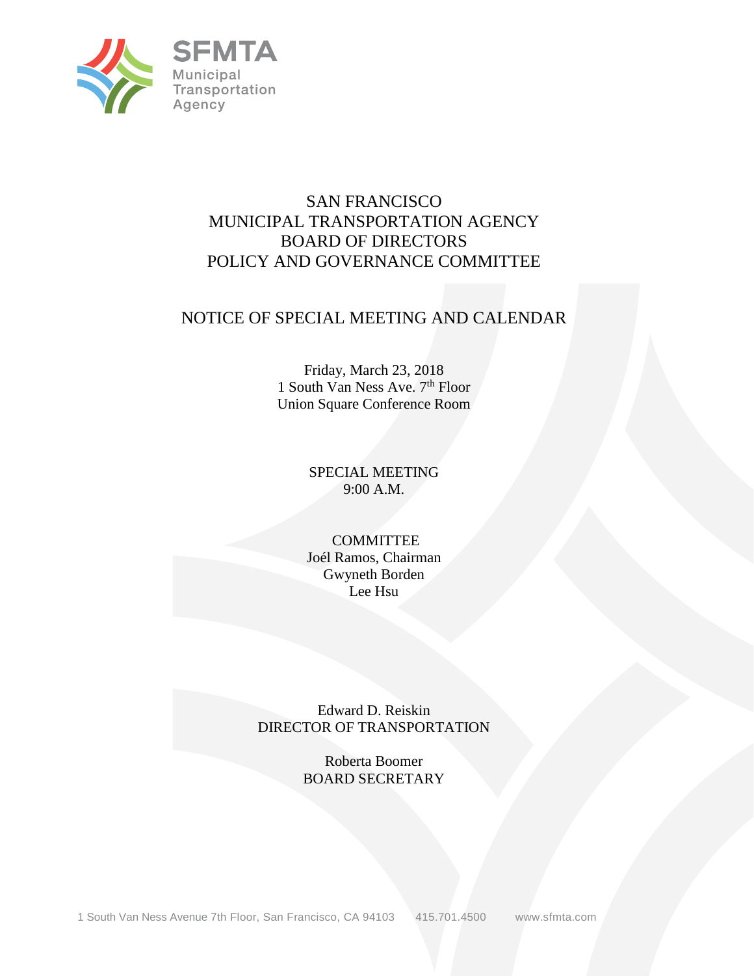

# SAN FRANCISCO MUNICIPAL TRANSPORTATION AGENCY BOARD OF DIRECTORS POLICY AND GOVERNANCE COMMITTEE

## NOTICE OF SPECIAL MEETING AND CALENDAR

Friday, March 23, 2018 1 South Van Ness Ave. 7<sup>th</sup> Floor Union Square Conference Room

## SPECIAL MEETING 9:00 A.M.

#### **COMMITTEE** Joél Ramos, Chairman Gwyneth Borden Lee Hsu

Edward D. Reiskin DIRECTOR OF TRANSPORTATION

> Roberta Boomer BOARD SECRETARY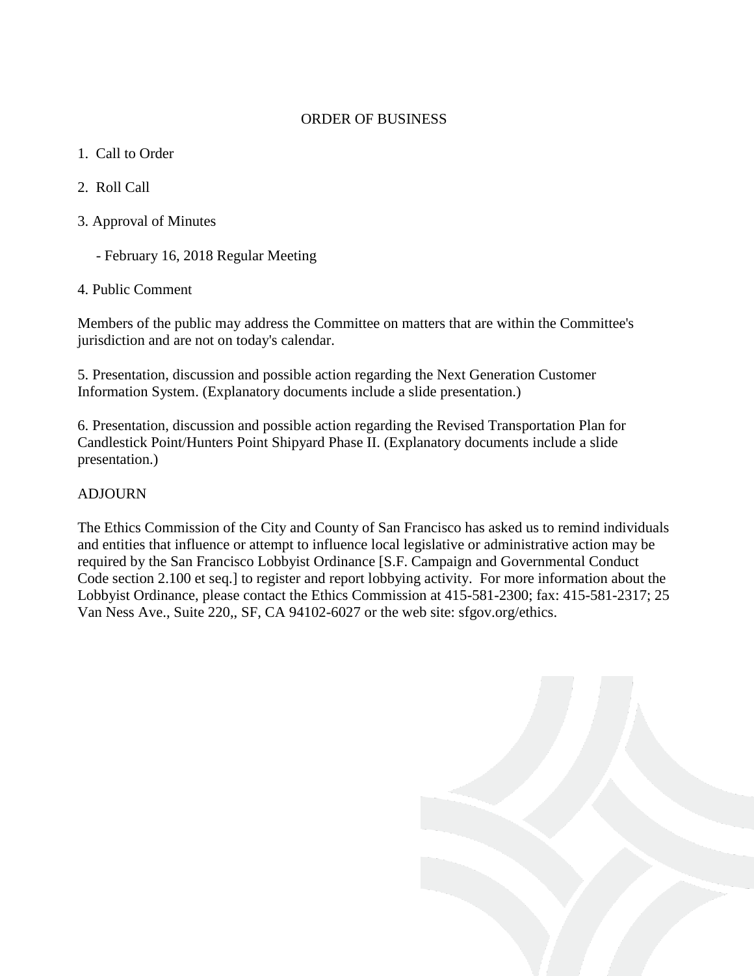#### ORDER OF BUSINESS

- 1. Call to Order
- 2. Roll Call
- 3. Approval of Minutes
	- February 16, 2018 Regular Meeting
- 4. Public Comment

Members of the public may address the Committee on matters that are within the Committee's jurisdiction and are not on today's calendar.

5. Presentation, discussion and possible action regarding the Next Generation Customer Information System. (Explanatory documents include a slide presentation.)

6. Presentation, discussion and possible action regarding the Revised Transportation Plan for Candlestick Point/Hunters Point Shipyard Phase II. (Explanatory documents include a slide presentation.)

## ADJOURN

The Ethics Commission of the City and County of San Francisco has asked us to remind individuals and entities that influence or attempt to influence local legislative or administrative action may be required by the San Francisco Lobbyist Ordinance [S.F. Campaign and Governmental Conduct Code section 2.100 et seq.] to register and report lobbying activity. For more information about the Lobbyist Ordinance, please contact the Ethics Commission at 415-581-2300; fax: 415-581-2317; 25 Van Ness Ave., Suite 220,, SF, CA 94102-6027 or the web site: sfgov.org/ethics.